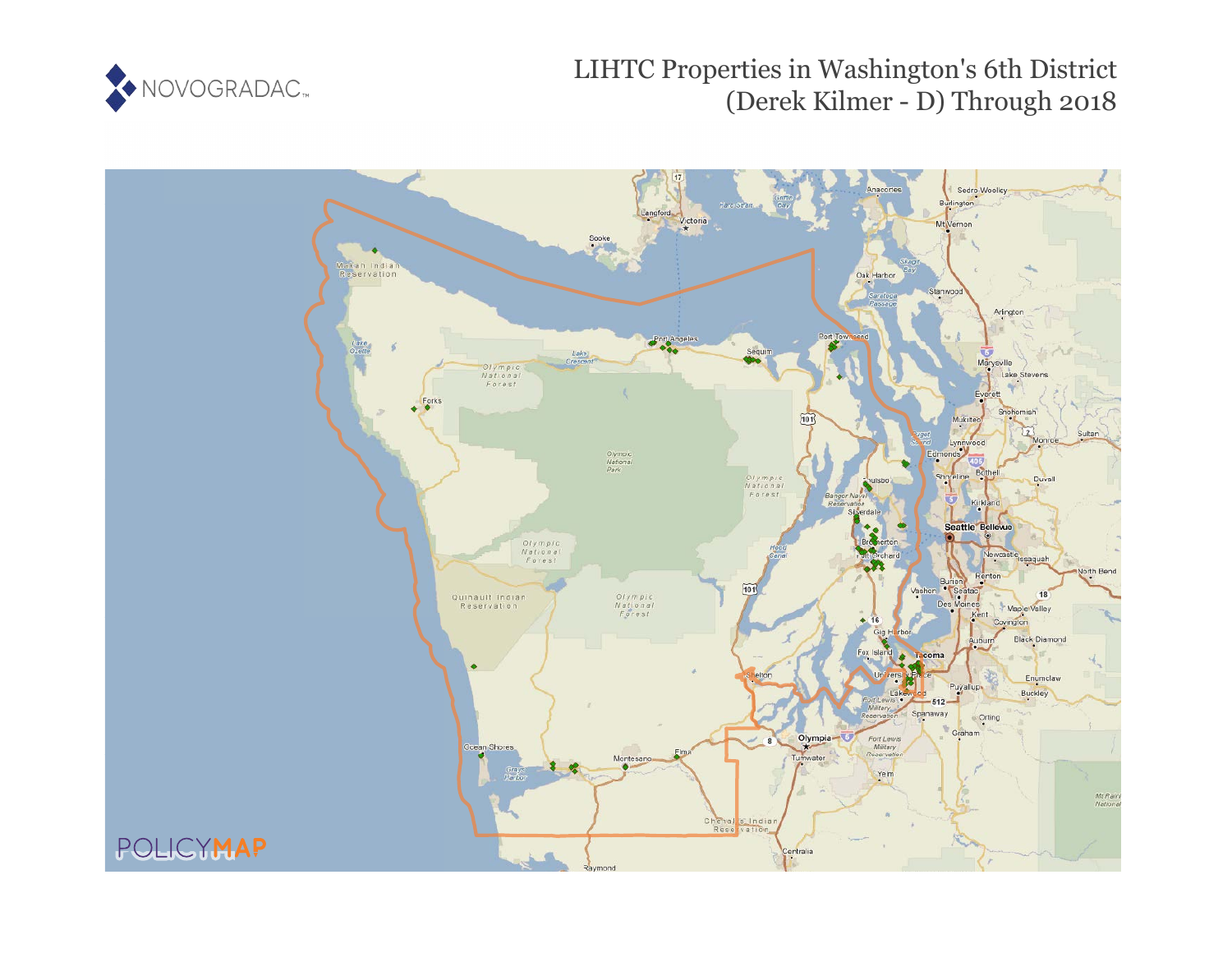

# LIHTC Properties in Washington's 6th District (Derek Kilmer - D) Through 2018

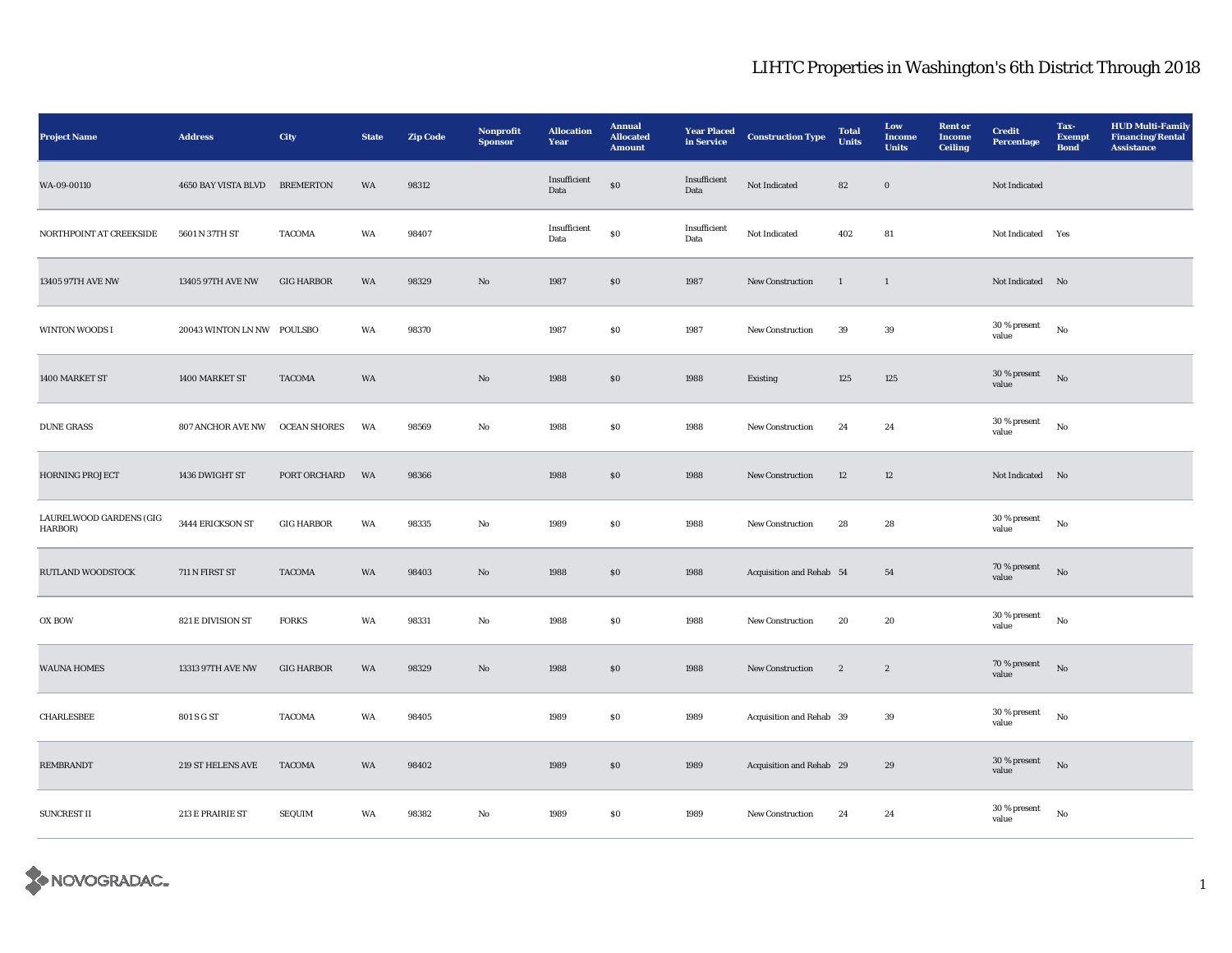| Project Name                       | <b>Address</b>             | City                | <b>State</b> | <b>Zip Code</b> | Nonprofit<br><b>Sponsor</b> | <b>Allocation</b><br>Year | <b>Annual</b><br><b>Allocated</b><br><b>Amount</b> | <b>Year Placed</b><br>in Service | <b>Construction Type</b> | <b>Total</b><br><b>Units</b> | Low<br><b>Income</b><br><b>Units</b> | <b>Rent</b> or<br><b>Income</b><br><b>Ceiling</b> | <b>Credit</b><br><b>Percentage</b> | Tax-<br><b>Exempt</b><br><b>Bond</b> | <b>HUD Multi-Family</b><br><b>Financing/Rental</b><br><b>Assistance</b> |
|------------------------------------|----------------------------|---------------------|--------------|-----------------|-----------------------------|---------------------------|----------------------------------------------------|----------------------------------|--------------------------|------------------------------|--------------------------------------|---------------------------------------------------|------------------------------------|--------------------------------------|-------------------------------------------------------------------------|
| WA-09-00110                        | 4650 BAY VISTA BLVD        | <b>BREMERTON</b>    | WA           | 98312           |                             | Insufficient<br>Data      | ${\bf S0}$                                         | Insufficient<br>Data             | Not Indicated            | ${\bf 82}$                   | $\mathbf 0$                          |                                                   | Not Indicated                      |                                      |                                                                         |
| NORTHPOINT AT CREEKSIDE            | 5601 N 37TH ST             | <b>TACOMA</b>       | WA           | 98407           |                             | Insufficient<br>Data      | $\$0$                                              | Insufficient<br>Data             | Not Indicated            | 402                          | ${\bf 81}$                           |                                                   | Not Indicated                      | Yes                                  |                                                                         |
| 13405 97TH AVE NW                  | 13405 97TH AVE NW          | <b>GIG HARBOR</b>   | WA           | 98329           | $\mathbf{N}\mathbf{o}$      | 1987                      | \$0\$                                              | 1987                             | <b>New Construction</b>  | $\mathbf{1}$                 | $\mathbf{1}$                         |                                                   | Not Indicated No                   |                                      |                                                                         |
| WINTON WOODS I                     | 20043 WINTON LN NW POULSBO |                     | WA           | 98370           |                             | 1987                      | $\boldsymbol{\mathsf{S}}\boldsymbol{\mathsf{0}}$   | 1987                             | New Construction         | 39                           | $39\,$                               |                                                   | 30 % present<br>value              | $_{\rm No}$                          |                                                                         |
| 1400 MARKET ST                     | 1400 MARKET ST             | <b>TACOMA</b>       | WA           |                 | $\mathbf{No}$               | 1988                      | \$0\$                                              | 1988                             | Existing                 | 125                          | 125                                  |                                                   | 30 % present<br>value              | No                                   |                                                                         |
| <b>DUNE GRASS</b>                  | 807 ANCHOR AVE NW          | <b>OCEAN SHORES</b> | WA           | 98569           | No                          | 1988                      | $\$0$                                              | 1988                             | New Construction         | 24                           | 24                                   |                                                   | 30 % present<br>value              | No                                   |                                                                         |
| HORNING PROJECT                    | 1436 DWIGHT ST             | PORT ORCHARD        | WA           | 98366           |                             | 1988                      | $\$0$                                              | 1988                             | New Construction         | $12\,$                       | $12\,$                               |                                                   | Not Indicated No                   |                                      |                                                                         |
| LAURELWOOD GARDENS (GIG<br>HARBOR) | 3444 ERICKSON ST           | <b>GIG HARBOR</b>   | WA           | 98335           | $\rm No$                    | 1989                      | $\$0$                                              | 1988                             | New Construction         | 28                           | $\bf 28$                             |                                                   | 30 % present<br>value              | $\rm No$                             |                                                                         |
| RUTLAND WOODSTOCK                  | 711 N FIRST ST             | <b>TACOMA</b>       | WA           | 98403           | No                          | 1988                      | \$0                                                | 1988                             | Acquisition and Rehab 54 |                              | 54                                   |                                                   | 70 % present<br>value              | No                                   |                                                                         |
| $\mathbf{OX}$ BOW                  | 821 E DIVISION ST          | <b>FORKS</b>        | WA           | 98331           | $\rm No$                    | 1988                      | $\$0$                                              | 1988                             | <b>New Construction</b>  | 20                           | 20                                   |                                                   | $30$ % present<br>value            | $_{\rm No}$                          |                                                                         |
| <b>WAUNA HOMES</b>                 | 13313 97TH AVE NW          | <b>GIG HARBOR</b>   | WA           | 98329           | $\mathbf{No}$               | 1988                      | $\$0$                                              | 1988                             | New Construction         | $\boldsymbol{2}$             | $\boldsymbol{2}$                     |                                                   | $70\,\%$ present<br>value          | $_{\rm No}$                          |                                                                         |
| CHARLESBEE                         | 801 S G ST                 | <b>TACOMA</b>       | WA           | 98405           |                             | 1989                      | $\$0$                                              | 1989                             | Acquisition and Rehab 39 |                              | $\bf 39$                             |                                                   | 30 % present<br>value              | No                                   |                                                                         |
| <b>REMBRANDT</b>                   | 219 ST HELENS AVE          | <b>TACOMA</b>       | WA           | 98402           |                             | 1989                      | \$0                                                | 1989                             | Acquisition and Rehab 29 |                              | $\bf 29$                             |                                                   | 30 % present<br>value              | $_{\rm No}$                          |                                                                         |
| SUNCREST II                        | 213 E PRAIRIE ST           | SEQUIM              | WA           | 98382           | No                          | 1989                      | $\boldsymbol{\mathsf{S}}\boldsymbol{\mathsf{0}}$   | 1989                             | New Construction         | 24                           | $\bf 24$                             |                                                   | 30 % present<br>value              | $\rm No$                             |                                                                         |

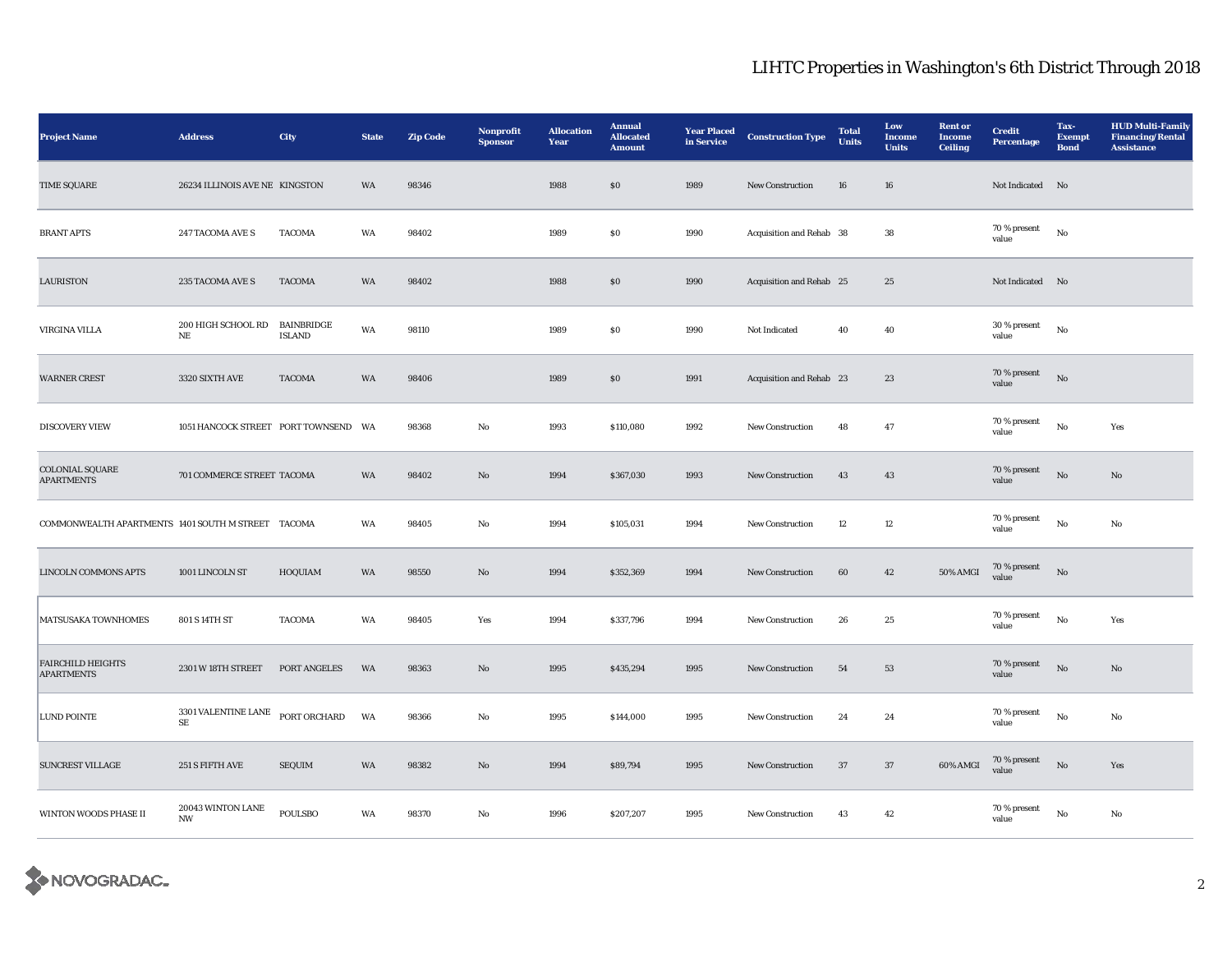| <b>Project Name</b>                                | <b>Address</b>                                  | City                        | <b>State</b> | <b>Zip Code</b> | Nonprofit<br><b>Sponsor</b> | <b>Allocation</b><br>Year | <b>Annual</b><br><b>Allocated</b><br><b>Amount</b> | <b>Year Placed</b><br>in Service | <b>Construction Type</b> | <b>Total</b><br>Units | Low<br><b>Income</b><br><b>Units</b> | <b>Rent</b> or<br><b>Income</b><br><b>Ceiling</b> | <b>Credit</b><br><b>Percentage</b> | Tax-<br><b>Exempt</b><br><b>Bond</b> | <b>HUD Multi-Family</b><br><b>Financing/Rental</b><br><b>Assistance</b> |
|----------------------------------------------------|-------------------------------------------------|-----------------------------|--------------|-----------------|-----------------------------|---------------------------|----------------------------------------------------|----------------------------------|--------------------------|-----------------------|--------------------------------------|---------------------------------------------------|------------------------------------|--------------------------------------|-------------------------------------------------------------------------|
| <b>TIME SQUARE</b>                                 | 26234 ILLINOIS AVE NE KINGSTON                  |                             | WA           | 98346           |                             | 1988                      | S <sub>0</sub>                                     | 1989                             | <b>New Construction</b>  | 16                    | 16                                   |                                                   | Not Indicated No                   |                                      |                                                                         |
| <b>BRANT APTS</b>                                  | 247 TACOMA AVE S                                | <b>TACOMA</b>               | WA           | 98402           |                             | 1989                      | $\$0$                                              | 1990                             | Acquisition and Rehab 38 |                       | 38                                   |                                                   | $70\,\%$ present<br>value          | $_{\rm No}$                          |                                                                         |
| <b>LAURISTON</b>                                   | 235 TACOMA AVE S                                | <b>TACOMA</b>               | WA           | 98402           |                             | 1988                      | $\boldsymbol{\mathsf{S}}\boldsymbol{\mathsf{O}}$   | 1990                             | Acquisition and Rehab 25 |                       | 25                                   |                                                   | Not Indicated No                   |                                      |                                                                         |
| <b>VIRGINA VILLA</b>                               | 200 HIGH SCHOOL RD<br>$_{\rm NE}$               | BAINBRIDGE<br><b>ISLAND</b> | WA           | 98110           |                             | 1989                      | $\$0$                                              | 1990                             | Not Indicated            | 40                    | 40                                   |                                                   | 30 % present<br>value              | $_{\rm No}$                          |                                                                         |
| <b>WARNER CREST</b>                                | 3320 SIXTH AVE                                  | <b>TACOMA</b>               | WA           | 98406           |                             | 1989                      | \$0\$                                              | 1991                             | Acquisition and Rehab 23 |                       | 23                                   |                                                   | 70 % present<br>value              | No                                   |                                                                         |
| <b>DISCOVERY VIEW</b>                              | 1051 HANCOCK STREET PORT TOWNSEND WA            |                             |              | 98368           | No                          | 1993                      | \$110,080                                          | 1992                             | <b>New Construction</b>  | 48                    | 47                                   |                                                   | 70 % present<br>value              | No                                   | Yes                                                                     |
| COLONIAL SQUARE<br><b>APARTMENTS</b>               | 701 COMMERCE STREET TACOMA                      |                             | WA           | 98402           | No                          | 1994                      | \$367,030                                          | 1993                             | New Construction         | 43                    | 43                                   |                                                   | 70 % present<br>value              | $_{\rm No}$                          | $\mathbf{N}\mathbf{o}$                                                  |
| COMMONWEALTH APARTMENTS 1401 SOUTH M STREET TACOMA |                                                 |                             | WA           | 98405           | No                          | 1994                      | \$105,031                                          | 1994                             | New Construction         | 12                    | $12\phantom{.0}$                     |                                                   | 70 % present<br>value              | No                                   | No                                                                      |
| <b>LINCOLN COMMONS APTS</b>                        | 1001 LINCOLN ST                                 | HOQUIAM                     | WA           | 98550           | $\mathbf{No}$               | 1994                      | \$352,369                                          | 1994                             | <b>New Construction</b>  | 60                    | 42                                   | 50% AMGI                                          | 70 % present<br>value              | $\rm No$                             |                                                                         |
| MATSUSAKA TOWNHOMES                                | 801 S 14TH ST                                   | <b>TACOMA</b>               | WA           | 98405           | Yes                         | 1994                      | \$337,796                                          | 1994                             | <b>New Construction</b>  | 26                    | 25                                   |                                                   | 70 % present<br>value              | $_{\rm No}$                          | Yes                                                                     |
| <b>FAIRCHILD HEIGHTS</b><br><b>APARTMENTS</b>      | 2301 W 18TH STREET                              | PORT ANGELES                | WA           | 98363           | No                          | 1995                      | \$435,294                                          | 1995                             | <b>New Construction</b>  | 54                    | 53                                   |                                                   | 70 % present<br>value              | No                                   | No                                                                      |
| <b>LUND POINTE</b>                                 | $3301$ VALENTINE LANE $\,$<br>$\rm SE$          | PORT ORCHARD                | WA           | 98366           | No                          | 1995                      | \$144,000                                          | 1995                             | New Construction         | 24                    | 24                                   |                                                   | 70 % present<br>value              | $_{\rm No}$                          | No                                                                      |
| <b>SUNCREST VILLAGE</b>                            | 251 S FIFTH AVE                                 | SEQUIM                      | WA           | 98382           | No                          | 1994                      | \$89,794                                           | 1995                             | New Construction         | $37\,$                | 37                                   | 60% AMGI                                          | 70 % present<br>value              | $\rm No$                             | Yes                                                                     |
| WINTON WOODS PHASE II                              | $20043$ WINTON LANE<br>$\ensuremath{\text{NW}}$ | POULSBO                     | WA           | 98370           | No                          | 1996                      | \$207,207                                          | 1995                             | <b>New Construction</b>  | 43                    | 42                                   |                                                   | 70 % present<br>value              | No                                   | No                                                                      |

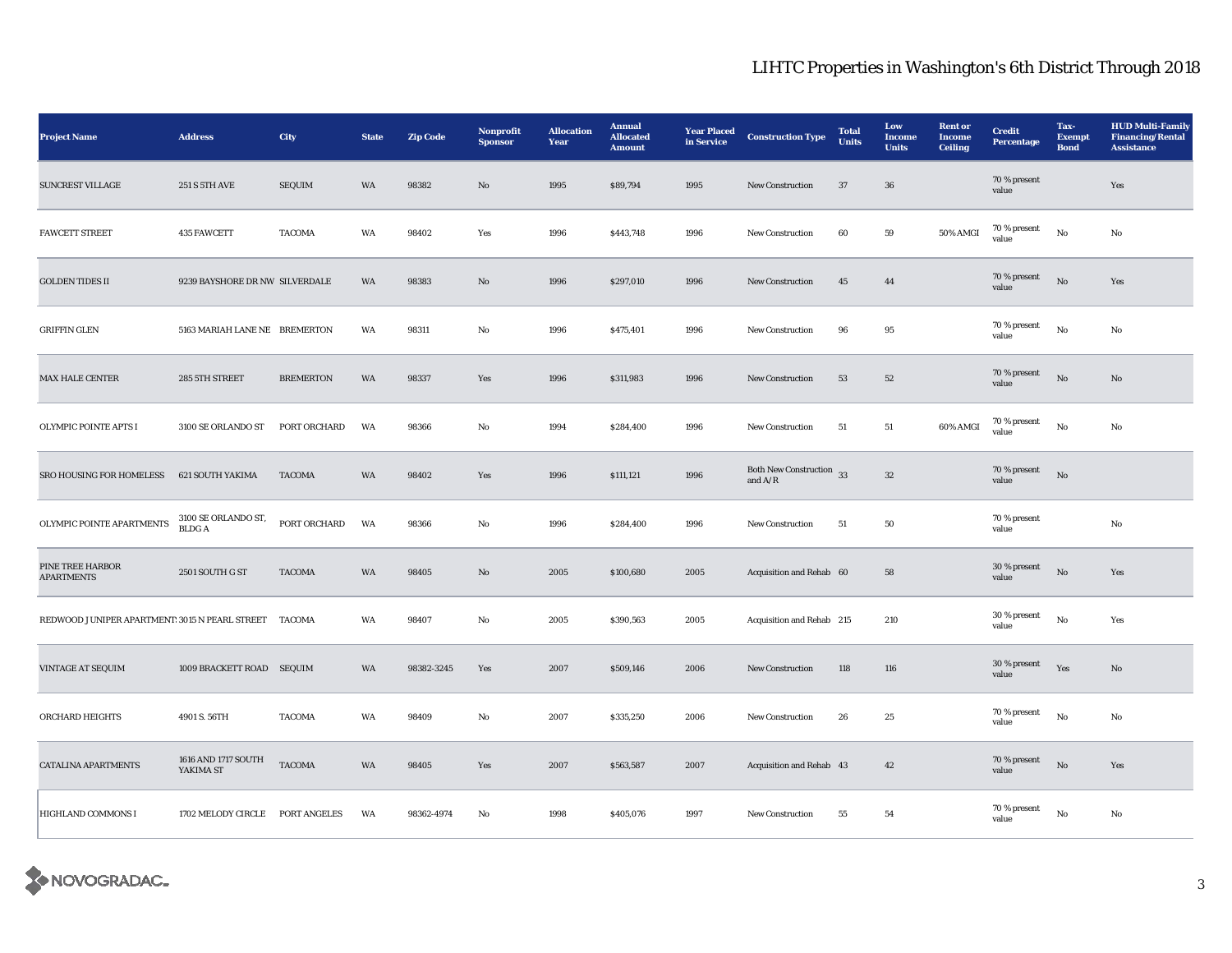| <b>Project Name</b>                            | <b>Address</b>                      | City             | <b>State</b> | <b>Zip Code</b> | Nonprofit<br><b>Sponsor</b> | <b>Allocation</b><br>Year | <b>Annual</b><br><b>Allocated</b><br><b>Amount</b> | <b>Year Placed</b><br>in Service | <b>Construction Type</b>                                | <b>Total</b><br><b>Units</b> | Low<br><b>Income</b><br><b>Units</b> | <b>Rent or</b><br><b>Income</b><br><b>Ceiling</b> | <b>Credit</b><br>Percentage | Tax-<br><b>Exempt</b><br><b>Bond</b> | <b>HUD Multi-Family</b><br><b>Financing/Rental</b><br><b>Assistance</b> |
|------------------------------------------------|-------------------------------------|------------------|--------------|-----------------|-----------------------------|---------------------------|----------------------------------------------------|----------------------------------|---------------------------------------------------------|------------------------------|--------------------------------------|---------------------------------------------------|-----------------------------|--------------------------------------|-------------------------------------------------------------------------|
| <b>SUNCREST VILLAGE</b>                        | <b>251 S 5TH AVE</b>                | <b>SEQUIM</b>    | WA           | 98382           | $\mathbf{N}\mathbf{o}$      | 1995                      | \$89,794                                           | 1995                             | New Construction                                        | 37                           | ${\bf 36}$                           |                                                   | 70 % present<br>value       |                                      | Yes                                                                     |
| <b>FAWCETT STREET</b>                          | 435 FAWCETT                         | <b>TACOMA</b>    | WA           | 98402           | Yes                         | 1996                      | \$443,748                                          | 1996                             | New Construction                                        | 60                           | $\bf 59$                             | 50% AMGI                                          | 70 % present<br>value       | $\rm\, No$                           | No                                                                      |
| <b>GOLDEN TIDES II</b>                         | 9239 BAYSHORE DR NW SILVERDALE      |                  | WA           | 98383           | $\mathbf{N}\mathbf{o}$      | 1996                      | \$297,010                                          | 1996                             | New Construction                                        | ${\bf 45}$                   | $\bf 44$                             |                                                   | 70 % present<br>value       | $\rm No$                             | Yes                                                                     |
| <b>GRIFFIN GLEN</b>                            | 5163 MARIAH LANE NE BREMERTON       |                  | WA           | 98311           | $\rm No$                    | 1996                      | \$475,401                                          | 1996                             | New Construction                                        | 96                           | $\bf 95$                             |                                                   | 70 % present<br>value       | $\rm\thinspace No$                   | No                                                                      |
| MAX HALE CENTER                                | 285 5TH STREET                      | <b>BREMERTON</b> | WA           | 98337           | Yes                         | 1996                      | \$311,983                                          | 1996                             | New Construction                                        | ${\bf 53}$                   | $52\,$                               |                                                   | 70 % present<br>value       | $\rm No$                             | No                                                                      |
| <b>OLYMPIC POINTE APTS I</b>                   | 3100 SE ORLANDO ST                  | PORT ORCHARD     | WA           | 98366           | No                          | 1994                      | \$284,400                                          | 1996                             | <b>New Construction</b>                                 | 51                           | 51                                   | 60% AMGI                                          | $70\,\%$ present<br>value   | $\rm No$                             | No                                                                      |
| SRO HOUSING FOR HOMELESS                       | 621 SOUTH YAKIMA                    | <b>TACOMA</b>    | WA           | 98402           | Yes                         | 1996                      | \$111,121                                          | 1996                             | Both New Construction 33<br>and $\mathrm{A}/\mathrm{R}$ |                              | $32\,$                               |                                                   | 70 % present<br>value       | $\mathbf{N}\mathbf{o}$               |                                                                         |
| OLYMPIC POINTE APARTMENTS                      | 3100 SE ORLANDO ST,<br><b>BLDGA</b> | PORT ORCHARD     | WA           | 98366           | No                          | 1996                      | \$284,400                                          | 1996                             | New Construction                                        | 51                           | 50                                   |                                                   | 70 % present<br>value       |                                      | No                                                                      |
| PINE TREE HARBOR<br><b>APARTMENTS</b>          | 2501 SOUTH G ST                     | <b>TACOMA</b>    | WA           | 98405           | $\mathbf{N}\mathbf{o}$      | 2005                      | \$100,680                                          | 2005                             | Acquisition and Rehab 60                                |                              | 58                                   |                                                   | 30 % present<br>value       | $_{\rm No}$                          | Yes                                                                     |
| REDWOOD JUNIPER APARTMENT! 3015 N PEARL STREET |                                     | TACOMA           | WA           | 98407           | No                          | 2005                      | \$390,563                                          | 2005                             | Acquisition and Rehab 215                               |                              | 210                                  |                                                   | 30 % present<br>value       | $\rm No$                             | Yes                                                                     |
| VINTAGE AT SEQUIM                              | 1009 BRACKETT ROAD SEQUIM           |                  | WA           | 98382-3245      | Yes                         | 2007                      | \$509,146                                          | 2006                             | New Construction                                        | 118                          | 116                                  |                                                   | 30 % present<br>value       | Yes                                  | No                                                                      |
| ORCHARD HEIGHTS                                | 4901 S. 56TH                        | <b>TACOMA</b>    | WA           | 98409           | No                          | 2007                      | \$335,250                                          | 2006                             | New Construction                                        | ${\bf 26}$                   | $\bf 25$                             |                                                   | 70 % present<br>value       | $\rm No$                             | No                                                                      |
| <b>CATALINA APARTMENTS</b>                     | 1616 AND 1717 SOUTH<br>YAKIMA ST    | <b>TACOMA</b>    | <b>WA</b>    | 98405           | Yes                         | 2007                      | \$563,587                                          | 2007                             | Acquisition and Rehab 43                                |                              | $42\,$                               |                                                   | 70 % present<br>value       | $_{\rm No}$                          | Yes                                                                     |
| HIGHLAND COMMONS I                             | 1702 MELODY CIRCLE PORT ANGELES     |                  | WA           | 98362-4974      | No                          | 1998                      | \$405,076                                          | 1997                             | <b>New Construction</b>                                 | 55                           | 54                                   |                                                   | 70 % present<br>value       | No                                   | No                                                                      |

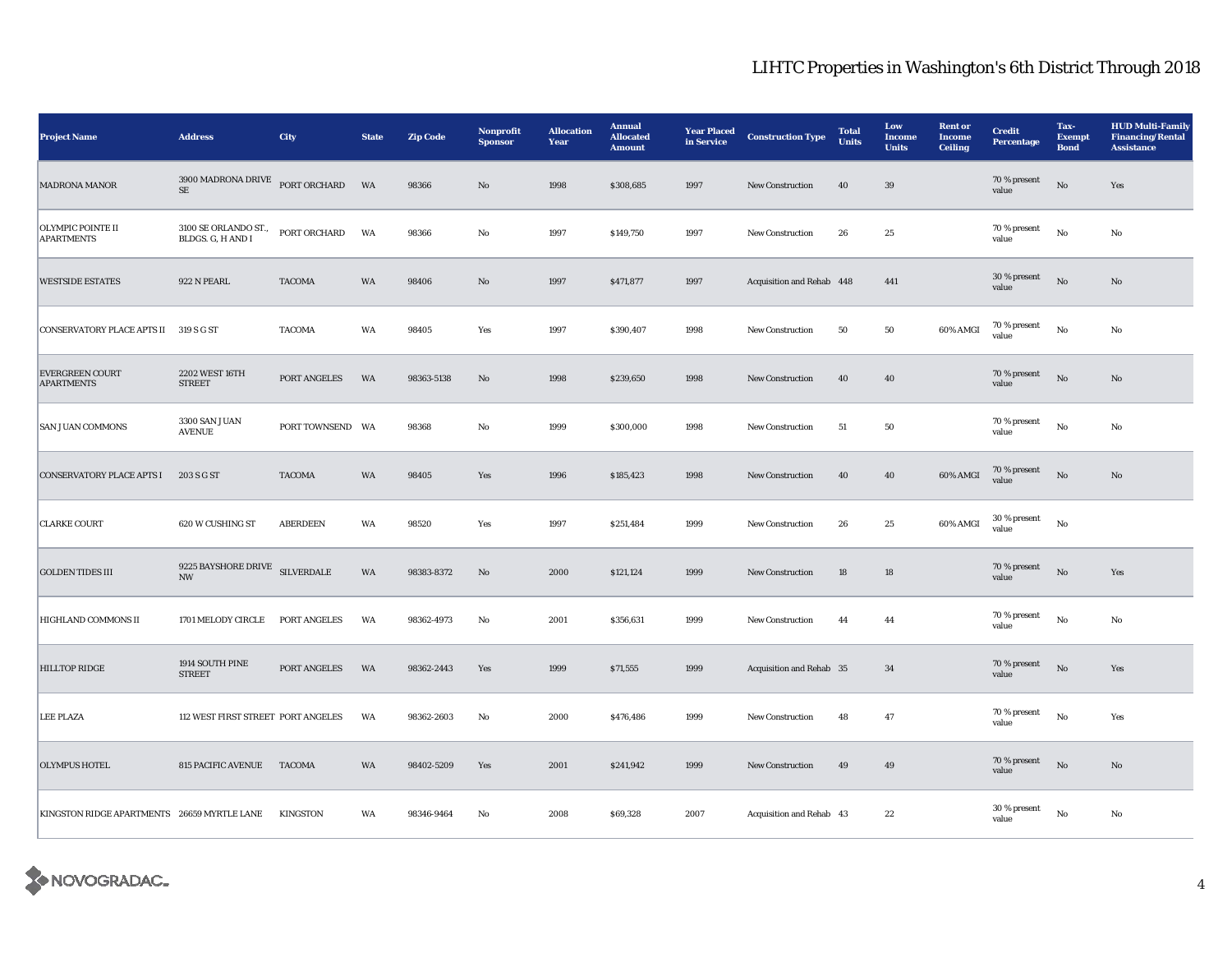| <b>Project Name</b>                         | <b>Address</b>                                  | City              | <b>State</b> | <b>Zip Code</b> | Nonprofit<br><b>Sponsor</b> | <b>Allocation</b><br>Year | <b>Annual</b><br><b>Allocated</b><br><b>Amount</b> | <b>Year Placed</b><br>in Service | <b>Construction Type</b>  | <b>Total</b><br><b>Units</b> | Low<br><b>Income</b><br><b>Units</b> | <b>Rent</b> or<br><b>Income</b><br><b>Ceiling</b> | <b>Credit</b><br>Percentage | Tax-<br><b>Exempt</b><br><b>Bond</b> | <b>HUD Multi-Family</b><br><b>Financing/Rental</b><br><b>Assistance</b> |
|---------------------------------------------|-------------------------------------------------|-------------------|--------------|-----------------|-----------------------------|---------------------------|----------------------------------------------------|----------------------------------|---------------------------|------------------------------|--------------------------------------|---------------------------------------------------|-----------------------------|--------------------------------------|-------------------------------------------------------------------------|
| <b>MADRONA MANOR</b>                        | $3900$ MADRONA DRIVE<br>$\rm SE$                | PORT ORCHARD      | <b>WA</b>    | 98366           | No                          | 1998                      | \$308,685                                          | 1997                             | <b>New Construction</b>   | 40                           | 39                                   |                                                   | 70 % present<br>value       | $\mathbf{N}\mathbf{o}$               | Yes                                                                     |
| OLYMPIC POINTE II<br><b>APARTMENTS</b>      | 3100 SE ORLANDO ST.,<br>BLDGS. G, H AND I       | PORT ORCHARD      | WA           | 98366           | $\mathbf {No}$              | 1997                      | \$149,750                                          | 1997                             | New Construction          | 26                           | $\bf 25$                             |                                                   | 70 % present<br>value       | $_{\rm No}$                          | No                                                                      |
| <b>WESTSIDE ESTATES</b>                     | 922 N PEARL                                     | <b>TACOMA</b>     | WA           | 98406           | $\rm No$                    | 1997                      | \$471,877                                          | 1997                             | Acquisition and Rehab 448 |                              | 441                                  |                                                   | 30 % present<br>value       | $_{\rm No}$                          | No                                                                      |
| CONSERVATORY PLACE APTS II 319 S G ST       |                                                 | <b>TACOMA</b>     | WA           | 98405           | Yes                         | 1997                      | \$390,407                                          | 1998                             | <b>New Construction</b>   | 50                           | 50                                   | 60% AMGI                                          | 70 % present<br>value       | No                                   | No                                                                      |
| <b>EVERGREEN COURT</b><br><b>APARTMENTS</b> | 2202 WEST 16TH<br><b>STREET</b>                 | PORT ANGELES      | WA           | 98363-5138      | $\rm No$                    | 1998                      | \$239,650                                          | 1998                             | <b>New Construction</b>   | 40                           | 40                                   |                                                   | 70 % present<br>value       | $_{\rm No}$                          | No                                                                      |
| <b>SAN JUAN COMMONS</b>                     | 3300 SAN JUAN<br><b>AVENUE</b>                  | PORT TOWNSEND WA  |              | 98368           | $_{\rm No}$                 | 1999                      | \$300,000                                          | 1998                             | New Construction          | ${\bf 51}$                   | ${\bf 50}$                           |                                                   | $70\,\%$ present<br>value   | $_{\rm No}$                          | $_{\rm No}$                                                             |
| <b>CONSERVATORY PLACE APTS I</b>            | 203 S G ST                                      | <b>TACOMA</b>     | WA           | 98405           | Yes                         | 1996                      | \$185,423                                          | 1998                             | New Construction          | 40                           | 40                                   | 60% AMGI                                          | 70 % present<br>value       | $\rm No$                             | $\mathbf{No}$                                                           |
| <b>CLARKE COURT</b>                         | 620 W CUSHING ST                                | <b>ABERDEEN</b>   | WA           | 98520           | Yes                         | 1997                      | \$251,484                                          | 1999                             | <b>New Construction</b>   | 26                           | $\bf 25$                             | 60% AMGI                                          | 30 % present<br>value       | $_{\rm No}$                          |                                                                         |
| <b>GOLDEN TIDES III</b>                     | 9225 BAYSHORE DRIVE<br>$\ensuremath{\text{NW}}$ | <b>SILVERDALE</b> | WA           | 98383-8372      | $\mathbf{N}\mathbf{o}$      | 2000                      | \$121,124                                          | 1999                             | New Construction          | 18                           | $18\,$                               |                                                   | $70\,\%$ present<br>value   | $\rm No$                             | Yes                                                                     |
| HIGHLAND COMMONS II                         | 1701 MELODY CIRCLE                              | PORT ANGELES      | WA           | 98362-4973      | No                          | 2001                      | \$356,631                                          | 1999                             | New Construction          | 44                           | 44                                   |                                                   | 70 % present<br>value       | $\rm\thinspace No$                   | No                                                                      |
| <b>HILLTOP RIDGE</b>                        | 1914 SOUTH PINE<br><b>STREET</b>                | PORT ANGELES      | WA           | 98362-2443      | Yes                         | 1999                      | \$71,555                                           | 1999                             | Acquisition and Rehab 35  |                              | 34                                   |                                                   | 70 % present<br>value       | $\rm No$                             | Yes                                                                     |
| <b>LEE PLAZA</b>                            | 112 WEST FIRST STREET PORT ANGELES              |                   | WA           | 98362-2603      | $\rm\bf No$                 | 2000                      | \$476,486                                          | 1999                             | New Construction          | $\bf 48$                     | $\bf 47$                             |                                                   | 70 % present<br>value       | $_{\rm No}$                          | Yes                                                                     |
| <b>OLYMPUS HOTEL</b>                        | 815 PACIFIC AVENUE TACOMA                       |                   | WA           | 98402-5209      | Yes                         | 2001                      | \$241,942                                          | 1999                             | New Construction          | 49                           | 49                                   |                                                   | 70 % present<br>value       | $\rm No$                             | No                                                                      |
| KINGSTON RIDGE APARTMENTS 26659 MYRTLE LANE |                                                 | <b>KINGSTON</b>   | WA           | 98346-9464      | $\mathbf {No}$              | 2008                      | \$69,328                                           | 2007                             | Acquisition and Rehab 43  |                              | $\bf{22}$                            |                                                   | 30 % present<br>value       | $\rm No$                             | No                                                                      |

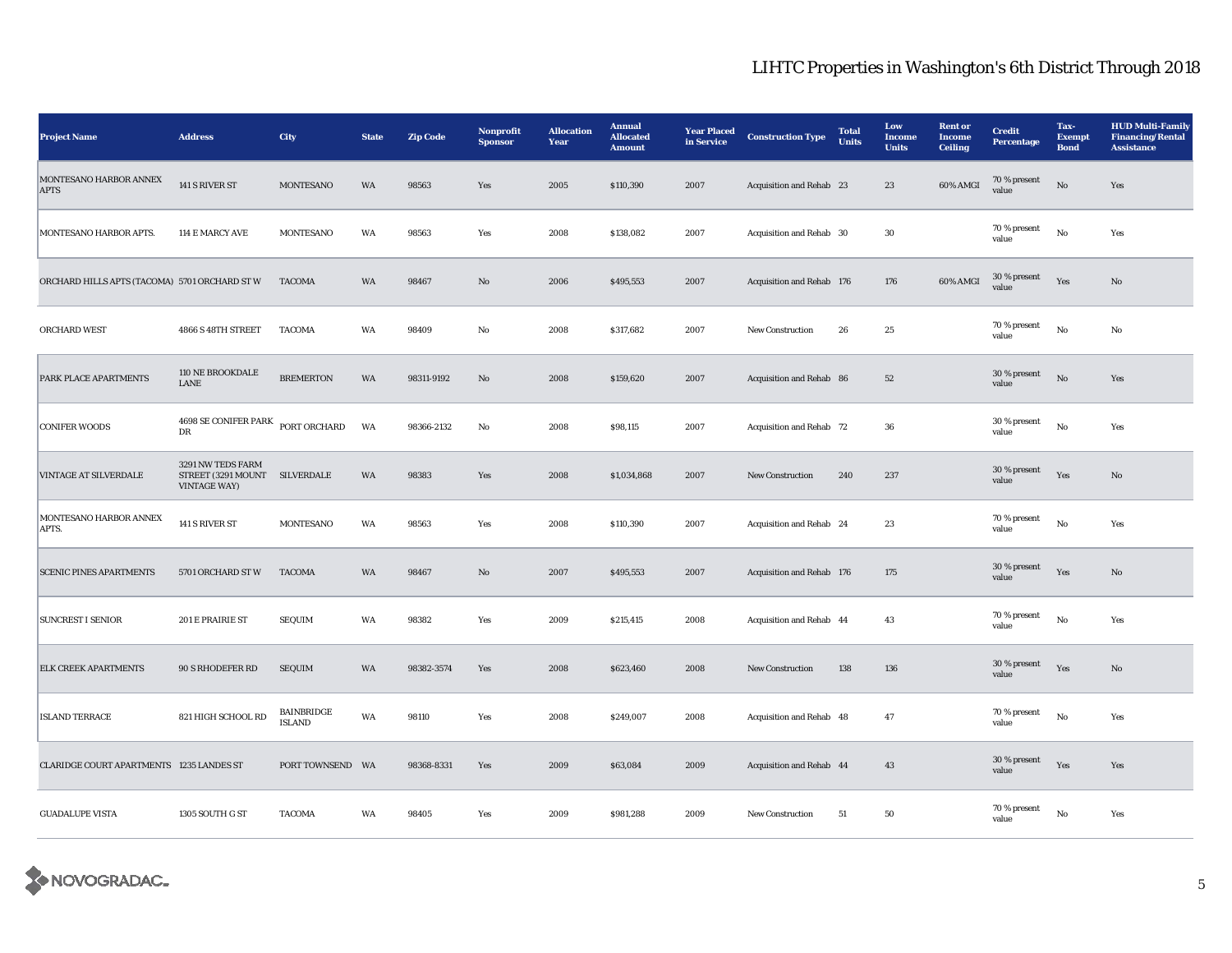| <b>Project Name</b>                           | <b>Address</b>                                                 | City                               | <b>State</b> | <b>Zip Code</b> | Nonprofit<br><b>Sponsor</b> | <b>Allocation</b><br>Year | <b>Annual</b><br><b>Allocated</b><br><b>Amount</b> | <b>Year Placed</b><br>in Service | <b>Construction Type</b>  | <b>Total</b><br><b>Units</b> | Low<br><b>Income</b><br><b>Units</b> | <b>Rent</b> or<br><b>Income</b><br><b>Ceiling</b> | <b>Credit</b><br><b>Percentage</b> | Tax-<br><b>Exempt</b><br><b>Bond</b> | <b>HUD Multi-Family</b><br><b>Financing/Rental</b><br><b>Assistance</b> |
|-----------------------------------------------|----------------------------------------------------------------|------------------------------------|--------------|-----------------|-----------------------------|---------------------------|----------------------------------------------------|----------------------------------|---------------------------|------------------------------|--------------------------------------|---------------------------------------------------|------------------------------------|--------------------------------------|-------------------------------------------------------------------------|
| MONTESANO HARBOR ANNEX<br><b>APTS</b>         | 141 S RIVER ST                                                 | <b>MONTESANO</b>                   | WA           | 98563           | Yes                         | 2005                      | \$110,390                                          | 2007                             | Acquisition and Rehab 23  |                              | 23                                   | 60% AMGI                                          | 70 % present<br>value              | $\rm No$                             | Yes                                                                     |
| MONTESANO HARBOR APTS.                        | 114 E MARCY AVE                                                | MONTESANO                          | WA           | 98563           | Yes                         | 2008                      | \$138,082                                          | 2007                             | Acquisition and Rehab 30  |                              | $30\,$                               |                                                   | 70 % present<br>value              | $\rm No$                             | Yes                                                                     |
| ORCHARD HILLS APTS (TACOMA) 5701 ORCHARD ST W |                                                                | <b>TACOMA</b>                      | <b>WA</b>    | 98467           | No                          | 2006                      | \$495,553                                          | 2007                             | Acquisition and Rehab 176 |                              | 176                                  | 60% AMGI                                          | $30\,\%$ present<br>value          | Yes                                  | No                                                                      |
| ORCHARD WEST                                  | 4866 S 48TH STREET                                             | <b>TACOMA</b>                      | WA           | 98409           | No                          | 2008                      | \$317,682                                          | 2007                             | New Construction          | ${\bf 26}$                   | 25                                   |                                                   | 70 % present<br>value              | No                                   | No                                                                      |
| PARK PLACE APARTMENTS                         | 110 NE BROOKDALE<br>LANE                                       | <b>BREMERTON</b>                   | WA           | 98311-9192      | $\mathbf{No}$               | 2008                      | \$159,620                                          | 2007                             | Acquisition and Rehab 86  |                              | $52\,$                               |                                                   | 30 % present<br>value              | $\rm No$                             | Yes                                                                     |
| <b>CONIFER WOODS</b>                          | $4698$ SE CONIFER PARK<br>DR                                   | PORT ORCHARD                       | WA           | 98366-2132      | No                          | 2008                      | \$98,115                                           | 2007                             | Acquisition and Rehab 72  |                              | 36                                   |                                                   | 30 % present<br>value              | No                                   | Yes                                                                     |
| <b>VINTAGE AT SILVERDALE</b>                  | 3291 NW TEDS FARM<br>STREET (3291 MOUNT<br><b>VINTAGE WAY)</b> | SILVERDALE                         | WA           | 98383           | Yes                         | 2008                      | \$1,034,868                                        | 2007                             | New Construction          | 240                          | 237                                  |                                                   | 30 % present<br>value              | Yes                                  | $\mathbf{N}\mathbf{o}$                                                  |
| MONTESANO HARBOR ANNEX<br>APTS.               | 141 S RIVER ST                                                 | <b>MONTESANO</b>                   | WA           | 98563           | Yes                         | 2008                      | \$110,390                                          | 2007                             | Acquisition and Rehab 24  |                              | 23                                   |                                                   | 70 % present<br>value              | $_{\rm No}$                          | Yes                                                                     |
| <b>SCENIC PINES APARTMENTS</b>                | 5701 ORCHARD ST W                                              | <b>TACOMA</b>                      | WA           | 98467           | $\mathbf{N}\mathbf{o}$      | 2007                      | \$495,553                                          | 2007                             | Acquisition and Rehab 176 |                              | 175                                  |                                                   | 30 % present<br>value              | Yes                                  | $\mathbf{N}\mathbf{o}$                                                  |
| <b>SUNCREST I SENIOR</b>                      | 201 E PRAIRIE ST                                               | <b>SEQUIM</b>                      | WA           | 98382           | Yes                         | 2009                      | \$215,415                                          | 2008                             | Acquisition and Rehab 44  |                              | 43                                   |                                                   | 70 % present<br>value              | $_{\rm No}$                          | Yes                                                                     |
| <b>ELK CREEK APARTMENTS</b>                   | 90 S RHODEFER RD                                               | <b>SEQUIM</b>                      | WA           | 98382-3574      | Yes                         | 2008                      | \$623,460                                          | 2008                             | New Construction          | 138                          | 136                                  |                                                   | 30 % present<br>value              | Yes                                  | No                                                                      |
| <b>ISLAND TERRACE</b>                         | 821 HIGH SCHOOL RD                                             | <b>BAINBRIDGE</b><br><b>ISLAND</b> | WA           | 98110           | Yes                         | 2008                      | \$249,007                                          | 2008                             | Acquisition and Rehab 48  |                              | 47                                   |                                                   | 70 % present<br>value              | $_{\rm No}$                          | Yes                                                                     |
| CLARIDGE COURT APARTMENTS 1235 LANDES ST      |                                                                | PORT TOWNSEND WA                   |              | 98368-8331      | Yes                         | 2009                      | \$63,084                                           | 2009                             | Acquisition and Rehab 44  |                              | 43                                   |                                                   | 30 % present<br>value              | Yes                                  | Yes                                                                     |
| <b>GUADALUPE VISTA</b>                        | 1305 SOUTH G ST                                                | <b>TACOMA</b>                      | WA           | 98405           | Yes                         | 2009                      | \$981,288                                          | 2009                             | New Construction          | 51                           | 50                                   |                                                   | 70 % present<br>value              | $\rm No$                             | Yes                                                                     |

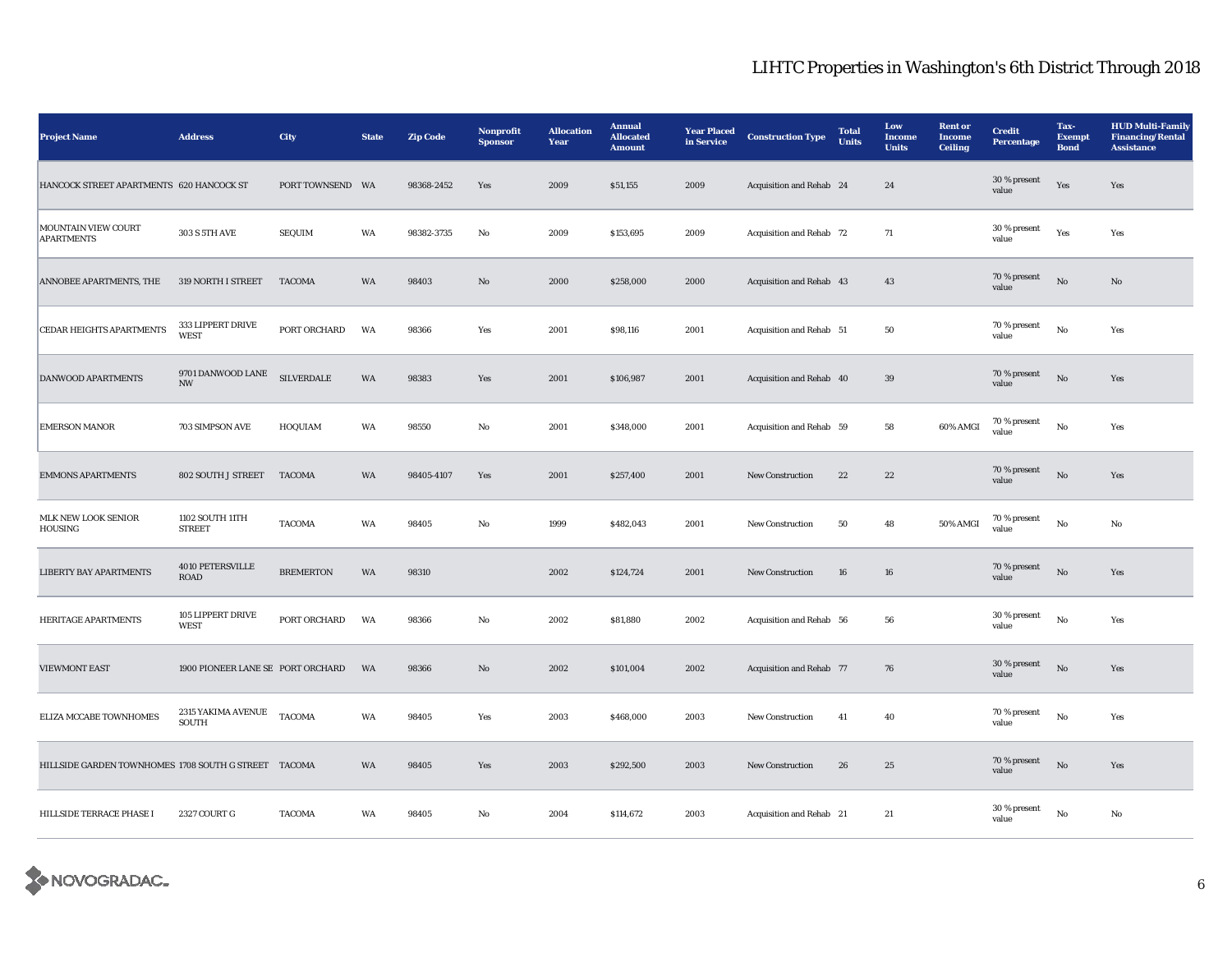| <b>Project Name</b>                                  | <b>Address</b>                                | City              | <b>State</b> | <b>Zip Code</b> | <b>Nonprofit</b><br><b>Sponsor</b> | <b>Allocation</b><br>Year | <b>Annual</b><br><b>Allocated</b><br><b>Amount</b> | <b>Year Placed</b><br>in Service | <b>Construction Type</b> | <b>Total</b><br><b>Units</b> | Low<br><b>Income</b><br><b>Units</b> | <b>Rent or</b><br><b>Income</b><br><b>Ceiling</b> | <b>Credit</b><br><b>Percentage</b> | Tax-<br><b>Exempt</b><br><b>Bond</b> | <b>HUD Multi-Family</b><br><b>Financing/Rental</b><br><b>Assistance</b> |
|------------------------------------------------------|-----------------------------------------------|-------------------|--------------|-----------------|------------------------------------|---------------------------|----------------------------------------------------|----------------------------------|--------------------------|------------------------------|--------------------------------------|---------------------------------------------------|------------------------------------|--------------------------------------|-------------------------------------------------------------------------|
| HANCOCK STREET APARTMENTS 620 HANCOCK ST             |                                               | PORT TOWNSEND WA  |              | 98368-2452      | Yes                                | 2009                      | \$51,155                                           | 2009                             | Acquisition and Rehab 24 |                              | 24                                   |                                                   | 30 % present<br>value              | Yes                                  | Yes                                                                     |
| MOUNTAIN VIEW COURT<br><b>APARTMENTS</b>             | 303 S 5TH AVE                                 | <b>SEQUIM</b>     | WA           | 98382-3735      | $_{\rm No}$                        | 2009                      | \$153,695                                          | 2009                             | Acquisition and Rehab 72 |                              | $71\,$                               |                                                   | 30 % present<br>value              | Yes                                  | Yes                                                                     |
| ANNOBEE APARTMENTS, THE                              | 319 NORTH I STREET                            | <b>TACOMA</b>     | WA           | 98403           | $\mathbf{N}\mathbf{o}$             | 2000                      | \$258,000                                          | 2000                             | Acquisition and Rehab 43 |                              | 43                                   |                                                   | 70 % present<br>value              | $\rm No$                             | $\mathbf{No}$                                                           |
| CEDAR HEIGHTS APARTMENTS                             | 333 LIPPERT DRIVE<br><b>WEST</b>              | PORT ORCHARD      | WA           | 98366           | Yes                                | 2001                      | \$98,116                                           | 2001                             | Acquisition and Rehab 51 |                              | 50                                   |                                                   | 70 % present<br>value              | $_{\rm No}$                          | Yes                                                                     |
| DANWOOD APARTMENTS                                   | 9701 DANWOOD LANE<br>$\ensuremath{\text{NW}}$ | <b>SILVERDALE</b> | WA           | 98383           | Yes                                | 2001                      | \$106,987                                          | 2001                             | Acquisition and Rehab 40 |                              | 39                                   |                                                   | 70 % present<br>value              | $\rm \bf No$                         | Yes                                                                     |
| <b>EMERSON MANOR</b>                                 | 703 SIMPSON AVE                               | HOQUIAM           | WA           | 98550           | No                                 | 2001                      | \$348,000                                          | 2001                             | Acquisition and Rehab 59 |                              | 58                                   | 60% AMGI                                          | 70 % present<br>value              | $_{\rm No}$                          | Yes                                                                     |
| <b>EMMONS APARTMENTS</b>                             | 802 SOUTH J STREET                            | <b>TACOMA</b>     | WA           | 98405-4107      | Yes                                | 2001                      | \$257,400                                          | 2001                             | New Construction         | $\bf{22}$                    | $22\,$                               |                                                   | 70 % present<br>value              | $\rm No$                             | Yes                                                                     |
| MLK NEW LOOK SENIOR<br>HOUSING                       | 1102 SOUTH 11TH<br><b>STREET</b>              | <b>TACOMA</b>     | WA           | 98405           | No                                 | 1999                      | \$482,043                                          | 2001                             | New Construction         | 50                           | 48                                   | 50% AMGI                                          | 70 % present<br>value              | No                                   | No                                                                      |
| <b>LIBERTY BAY APARTMENTS</b>                        | 4010 PETERSVILLE<br><b>ROAD</b>               | <b>BREMERTON</b>  | WA           | 98310           |                                    | 2002                      | \$124,724                                          | 2001                             | <b>New Construction</b>  | 16                           | 16                                   |                                                   | 70 % present<br>value              | No                                   | Yes                                                                     |
| HERITAGE APARTMENTS                                  | 105 LIPPERT DRIVE<br><b>WEST</b>              | PORT ORCHARD      | WA           | 98366           | No                                 | 2002                      | \$81,880                                           | 2002                             | Acquisition and Rehab 56 |                              | 56                                   |                                                   | 30 % present<br>value              | $_{\rm No}$                          | Yes                                                                     |
| <b>VIEWMONT EAST</b>                                 | 1900 PIONEER LANE SE PORT ORCHARD             |                   | WA           | 98366           | No                                 | 2002                      | \$101,004                                          | 2002                             | Acquisition and Rehab 77 |                              | 76                                   |                                                   | 30 % present<br>value              | $\mathbf{N}\mathbf{o}$               | Yes                                                                     |
| ELIZA MCCABE TOWNHOMES                               | 2315 YAKIMA AVENUE<br>SOUTH                   | <b>TACOMA</b>     | WA           | 98405           | Yes                                | 2003                      | \$468,000                                          | 2003                             | New Construction         | 41                           | 40                                   |                                                   | 70 % present<br>value              | $_{\rm No}$                          | Yes                                                                     |
| HILLSIDE GARDEN TOWNHOMES 1708 SOUTH G STREET TACOMA |                                               |                   | WA           | 98405           | Yes                                | 2003                      | \$292,500                                          | 2003                             | New Construction         | 26                           | 25                                   |                                                   | 70 % present<br>value              | $\rm No$                             | Yes                                                                     |
| HILLSIDE TERRACE PHASE I                             | 2327 COURT G                                  | <b>TACOMA</b>     | WA           | 98405           | No                                 | 2004                      | \$114,672                                          | 2003                             | Acquisition and Rehab 21 |                              | 21                                   |                                                   | 30 % present<br>value              | No                                   | No                                                                      |

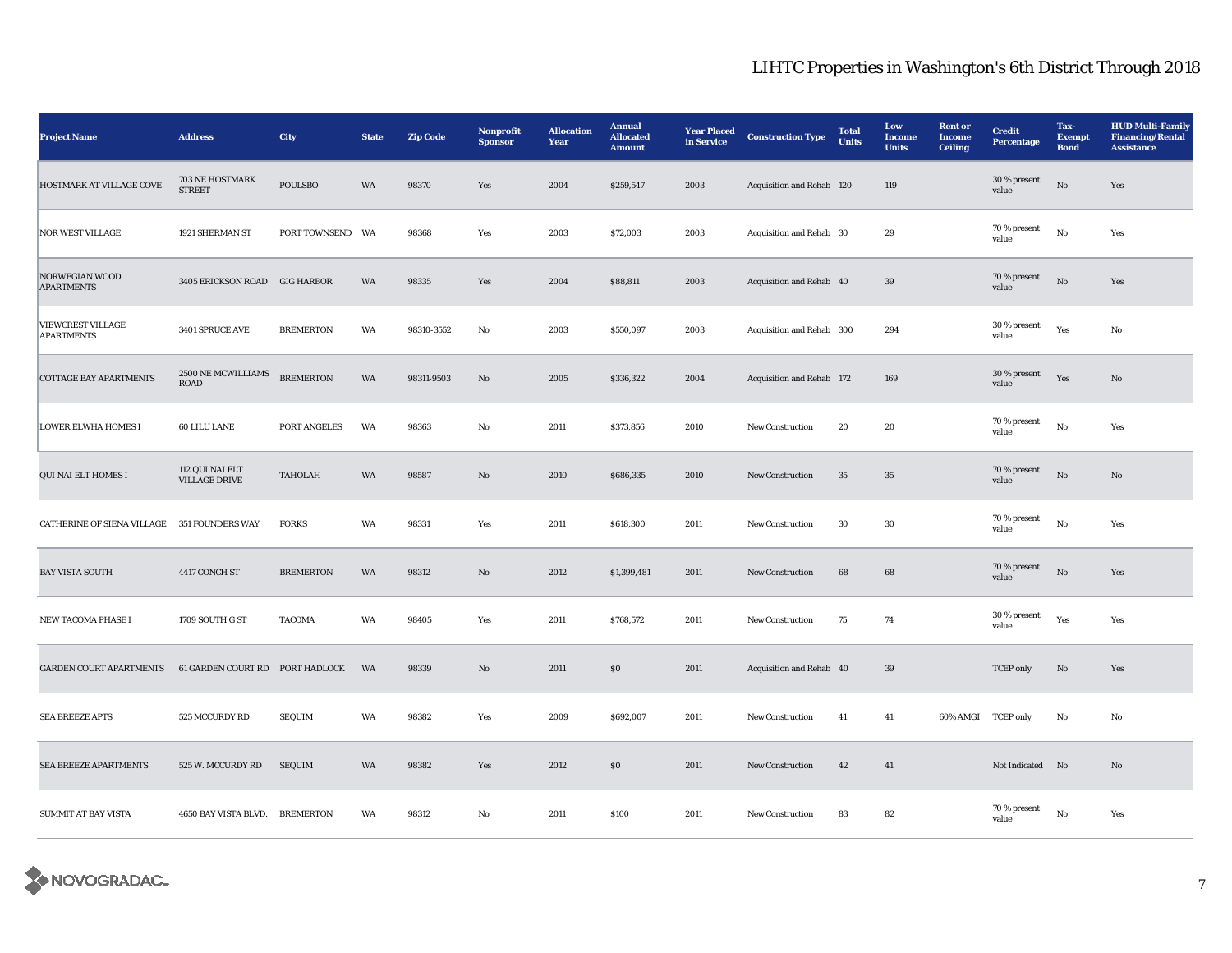| <b>Project Name</b>                           | <b>Address</b>                          | City             | <b>State</b> | <b>Zip Code</b> | Nonprofit<br><b>Sponsor</b> | <b>Allocation</b><br>Year | <b>Annual</b><br><b>Allocated</b><br><b>Amount</b> | <b>Year Placed</b><br>in Service | <b>Construction Type</b>  | <b>Total</b><br><b>Units</b> | Low<br><b>Income</b><br><b>Units</b> | <b>Rent</b> or<br><b>Income</b><br><b>Ceiling</b> | <b>Credit</b><br><b>Percentage</b> | Tax-<br><b>Exempt</b><br><b>Bond</b> | <b>HUD Multi-Family</b><br><b>Financing/Rental</b><br><b>Assistance</b> |
|-----------------------------------------------|-----------------------------------------|------------------|--------------|-----------------|-----------------------------|---------------------------|----------------------------------------------------|----------------------------------|---------------------------|------------------------------|--------------------------------------|---------------------------------------------------|------------------------------------|--------------------------------------|-------------------------------------------------------------------------|
| HOSTMARK AT VILLAGE COVE                      | 703 NE HOSTMARK<br><b>STREET</b>        | <b>POULSBO</b>   | WA           | 98370           | Yes                         | 2004                      | \$259,547                                          | 2003                             | Acquisition and Rehab 120 |                              | 119                                  |                                                   | 30 % present<br>value              | $\rm \bf No$                         | Yes                                                                     |
| <b>NOR WEST VILLAGE</b>                       | 1921 SHERMAN ST                         | PORT TOWNSEND WA |              | 98368           | Yes                         | 2003                      | \$72,003                                           | 2003                             | Acquisition and Rehab 30  |                              | 29                                   |                                                   | 70 % present<br>value              | $_{\rm No}$                          | Yes                                                                     |
| NORWEGIAN WOOD<br><b>APARTMENTS</b>           | 3405 ERICKSON ROAD GIG HARBOR           |                  | WA           | 98335           | Yes                         | 2004                      | \$88,811                                           | 2003                             | Acquisition and Rehab 40  |                              | 39                                   |                                                   | 70 % present<br>value              | $\rm \bf No$                         | Yes                                                                     |
| <b>VIEWCREST VILLAGE</b><br><b>APARTMENTS</b> | 3401 SPRUCE AVE                         | <b>BREMERTON</b> | WA           | 98310-3552      | No                          | 2003                      | \$550,097                                          | 2003                             | Acquisition and Rehab 300 |                              | 294                                  |                                                   | 30 % present<br>value              | Yes                                  | No                                                                      |
| <b>COTTAGE BAY APARTMENTS</b>                 | 2500 NE MCWILLIAMS<br><b>ROAD</b>       | <b>BREMERTON</b> | WA           | 98311-9503      | No                          | 2005                      | \$336,322                                          | 2004                             | Acquisition and Rehab 172 |                              | 169                                  |                                                   | 30 % present<br>value              | Yes                                  | No                                                                      |
| <b>LOWER ELWHA HOMES I</b>                    | 60 LILU LANE                            | PORT ANGELES     | WA           | 98363           | No                          | 2011                      | \$373,856                                          | 2010                             | New Construction          | 20                           | 20                                   |                                                   | 70 % present<br>value              | $_{\rm No}$                          | Yes                                                                     |
| QUI NAI ELT HOMES I                           | 112 QUI NAI ELT<br><b>VILLAGE DRIVE</b> | <b>TAHOLAH</b>   | WA           | 98587           | No                          | 2010                      | \$686,335                                          | 2010                             | New Construction          | $35\,$                       | $35\,$                               |                                                   | 70 % present<br>value              | $\rm No$                             | No                                                                      |
| CATHERINE OF SIENA VILLAGE 351 FOUNDERS WAY   |                                         | <b>FORKS</b>     | WA           | 98331           | Yes                         | 2011                      | \$618,300                                          | 2011                             | New Construction          | $30\,$                       | $30\,$                               |                                                   | 70 % present<br>value              | $_{\rm No}$                          | Yes                                                                     |
| <b>BAY VISTA SOUTH</b>                        | 4417 CONCH ST                           | <b>BREMERTON</b> | WA           | 98312           | No                          | 2012                      | \$1,399,481                                        | 2011                             | <b>New Construction</b>   | 68                           | 68                                   |                                                   | 70 % present<br>value              | $\rm No$                             | Yes                                                                     |
| NEW TACOMA PHASE I                            | 1709 SOUTH G ST                         | <b>TACOMA</b>    | WA           | 98405           | Yes                         | 2011                      | \$768,572                                          | 2011                             | New Construction          | $75\,$                       | 74                                   |                                                   | 30 % present<br>value              | Yes                                  | Yes                                                                     |
| <b>GARDEN COURT APARTMENTS</b>                | 61 GARDEN COURT RD                      | PORT HADLOCK     | WA           | 98339           | No                          | 2011                      | \$0\$                                              | 2011                             | Acquisition and Rehab 40  |                              | 39                                   |                                                   | <b>TCEP</b> only                   | $\mathbf{N}\mathbf{o}$               | Yes                                                                     |
| <b>SEA BREEZE APTS</b>                        | 525 MCCURDY RD                          | <b>SEQUIM</b>    | WA           | 98382           | Yes                         | 2009                      | \$692,007                                          | 2011                             | New Construction          | 41                           | 41                                   | 60% AMGI TCEP only                                |                                    | No                                   | $\mathbf{No}$                                                           |
| SEA BREEZE APARTMENTS                         | 525 W. MCCURDY RD                       | <b>SEQUIM</b>    | WA           | 98382           | Yes                         | 2012                      | \$0\$                                              | 2011                             | <b>New Construction</b>   | 42                           | 41                                   |                                                   | Not Indicated                      | No                                   | No                                                                      |
| <b>SUMMIT AT BAY VISTA</b>                    | 4650 BAY VISTA BLVD. BREMERTON          |                  | WA           | 98312           | No                          | 2011                      | \$100                                              | 2011                             | New Construction          | 83                           | 82                                   |                                                   | 70 % present<br>value              | No                                   | Yes                                                                     |

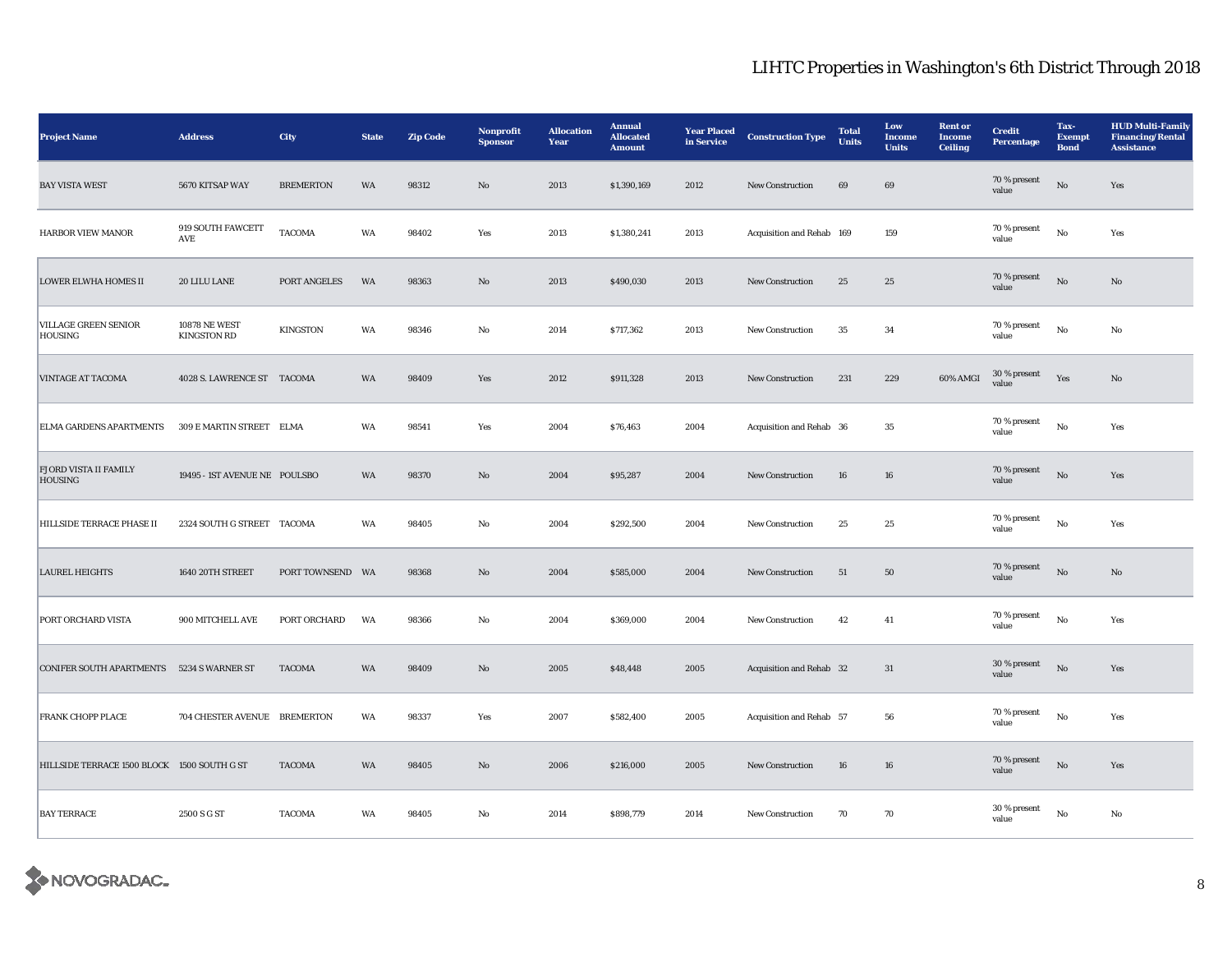| <b>Project Name</b>                              | <b>Address</b>                             | City             | <b>State</b> | <b>Zip Code</b> | <b>Nonprofit</b><br><b>Sponsor</b> | <b>Allocation</b><br>Year | <b>Annual</b><br><b>Allocated</b><br><b>Amount</b> | <b>Year Placed</b><br>in Service | <b>Construction Type</b>  | <b>Total</b><br><b>Units</b> | Low<br><b>Income</b><br><b>Units</b> | <b>Rent</b> or<br><b>Income</b><br><b>Ceiling</b> | <b>Credit</b><br>Percentage | Tax-<br><b>Exempt</b><br><b>Bond</b> | <b>HUD Multi-Family</b><br><b>Financing/Rental</b><br><b>Assistance</b> |
|--------------------------------------------------|--------------------------------------------|------------------|--------------|-----------------|------------------------------------|---------------------------|----------------------------------------------------|----------------------------------|---------------------------|------------------------------|--------------------------------------|---------------------------------------------------|-----------------------------|--------------------------------------|-------------------------------------------------------------------------|
| <b>BAY VISTA WEST</b>                            | 5670 KITSAP WAY                            | <b>BREMERTON</b> | WA           | 98312           | No                                 | 2013                      | \$1,390,169                                        | 2012                             | <b>New Construction</b>   | 69                           | 69                                   |                                                   | 70 % present<br>value       | $\rm No$                             | Yes                                                                     |
| HARBOR VIEW MANOR                                | 919 SOUTH FAWCETT<br>AVE                   | <b>TACOMA</b>    | WA           | 98402           | Yes                                | 2013                      | \$1,380,241                                        | 2013                             | Acquisition and Rehab 169 |                              | 159                                  |                                                   | 70 % present<br>value       | $_{\rm No}$                          | Yes                                                                     |
| <b>LOWER ELWHA HOMES II</b>                      | 20 LILU LANE                               | PORT ANGELES     | WA           | 98363           | No                                 | 2013                      | \$490,030                                          | 2013                             | <b>New Construction</b>   | 25                           | 25                                   |                                                   | 70 % present<br>value       | No                                   | No                                                                      |
| <b>VILLAGE GREEN SENIOR</b><br><b>HOUSING</b>    | <b>10878 NE WEST</b><br><b>KINGSTON RD</b> | <b>KINGSTON</b>  | WA           | 98346           | No                                 | 2014                      | \$717,362                                          | 2013                             | <b>New Construction</b>   | 35                           | 34                                   |                                                   | $70\,\%$ present<br>value   | No                                   | No                                                                      |
| <b>VINTAGE AT TACOMA</b>                         | 4028 S. LAWRENCE ST TACOMA                 |                  | WA           | 98409           | Yes                                | 2012                      | \$911,328                                          | 2013                             | <b>New Construction</b>   | 231                          | 229                                  | 60% AMGI                                          | 30 % present<br>value       | Yes                                  | $\mathbf{N}\mathbf{o}$                                                  |
| <b>ELMA GARDENS APARTMENTS</b>                   | 309 E MARTIN STREET ELMA                   |                  | WA           | 98541           | Yes                                | 2004                      | \$76,463                                           | 2004                             | Acquisition and Rehab 36  |                              | 35                                   |                                                   | 70 % present<br>value       | $\rm No$                             | Yes                                                                     |
| <b>FJORD VISTA II FAMILY</b><br>HOUSING          | 19495 - IST AVENUE NE POULSBO              |                  | WA           | 98370           | No                                 | 2004                      | \$95,287                                           | 2004                             | <b>New Construction</b>   | 16                           | 16                                   |                                                   | 70 % present<br>value       | $\rm No$                             | Yes                                                                     |
| HILLSIDE TERRACE PHASE II                        | 2324 SOUTH G STREET TACOMA                 |                  | WA           | 98405           | No                                 | 2004                      | \$292,500                                          | 2004                             | <b>New Construction</b>   | $\bf 25$                     | 25                                   |                                                   | 70 % present<br>value       | No                                   | Yes                                                                     |
| <b>LAUREL HEIGHTS</b>                            | 1640 20TH STREET                           | PORT TOWNSEND WA |              | 98368           | No                                 | 2004                      | \$585,000                                          | 2004                             | New Construction          | 51                           | ${\bf 50}$                           |                                                   | 70 % present<br>value       | $\rm No$                             | $\mathbf{No}$                                                           |
| PORT ORCHARD VISTA                               | 900 MITCHELL AVE                           | PORT ORCHARD     | WA           | 98366           | $_{\rm No}$                        | 2004                      | \$369,000                                          | 2004                             | New Construction          | 42                           | 41                                   |                                                   | 70 % present<br>value       | $_{\rm No}$                          | Yes                                                                     |
| <b>CONIFER SOUTH APARTMENTS 5234 S WARNER ST</b> |                                            | <b>TACOMA</b>    | WA           | 98409           | No                                 | 2005                      | \$48,448                                           | 2005                             | Acquisition and Rehab 32  |                              | 31                                   |                                                   | 30 % present<br>value       | $\rm No$                             | Yes                                                                     |
| <b>FRANK CHOPP PLACE</b>                         | 704 CHESTER AVENUE BREMERTON               |                  | WA           | 98337           | Yes                                | 2007                      | \$582,400                                          | 2005                             | Acquisition and Rehab 57  |                              | 56                                   |                                                   | 70 % present<br>value       | No                                   | Yes                                                                     |
| HILLSIDE TERRACE 1500 BLOCK 1500 SOUTH G ST      |                                            | <b>TACOMA</b>    | WA           | 98405           | No                                 | 2006                      | \$216,000                                          | 2005                             | New Construction          | ${\bf 16}$                   | ${\bf 16}$                           |                                                   | 70 % present<br>value       | $\rm No$                             | Yes                                                                     |
| <b>BAY TERRACE</b>                               | 2500 S G ST                                | <b>TACOMA</b>    | WA           | 98405           | No                                 | 2014                      | \$898,779                                          | 2014                             | New Construction          | 70                           | 70                                   |                                                   | 30 % present<br>value       | No                                   | No                                                                      |

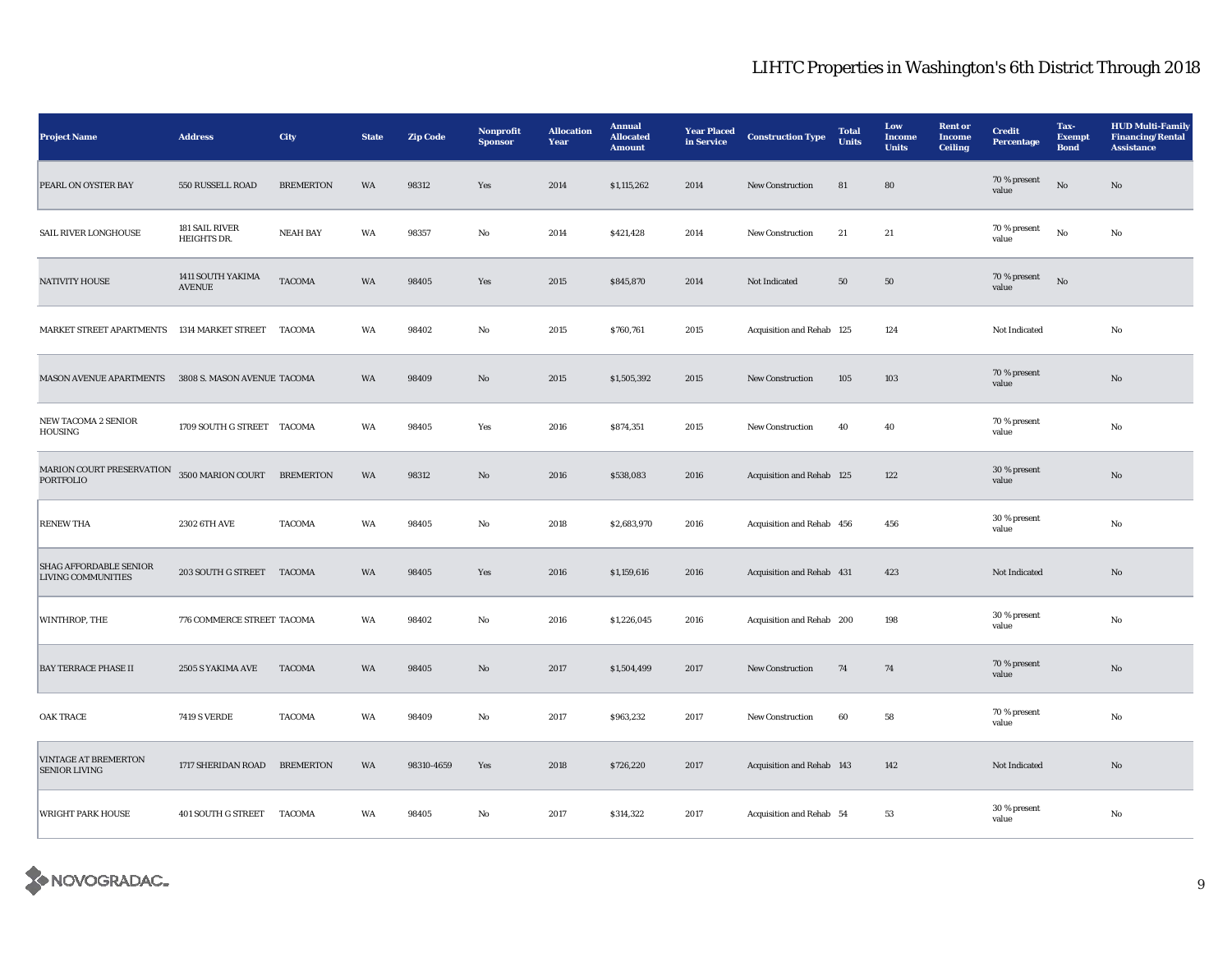| <b>Project Name</b>                                        | <b>Address</b>                     | City             | <b>State</b> | <b>Zip Code</b> | Nonprofit<br><b>Sponsor</b> | <b>Allocation</b><br>Year | <b>Annual</b><br><b>Allocated</b><br><b>Amount</b> | <b>Year Placed</b><br>in Service | <b>Construction Type</b>  | <b>Total</b><br><b>Units</b> | Low<br><b>Income</b><br><b>Units</b> | <b>Rent or</b><br><b>Income</b><br><b>Ceiling</b> | <b>Credit</b><br>Percentage | Tax-<br><b>Exempt</b><br><b>Bond</b> | <b>HUD Multi-Family</b><br><b>Financing/Rental</b><br><b>Assistance</b> |
|------------------------------------------------------------|------------------------------------|------------------|--------------|-----------------|-----------------------------|---------------------------|----------------------------------------------------|----------------------------------|---------------------------|------------------------------|--------------------------------------|---------------------------------------------------|-----------------------------|--------------------------------------|-------------------------------------------------------------------------|
| PEARL ON OYSTER BAY                                        | 550 RUSSELL ROAD                   | <b>BREMERTON</b> | WA           | 98312           | Yes                         | 2014                      | \$1,115,262                                        | 2014                             | <b>New Construction</b>   | 81                           | 80                                   |                                                   | 70 % present<br>value       | $_{\rm No}$                          | No                                                                      |
| SAIL RIVER LONGHOUSE                                       | 181 SAIL RIVER<br>HEIGHTS DR.      | <b>NEAH BAY</b>  | WA           | 98357           | No                          | 2014                      | \$421,428                                          | 2014                             | New Construction          | 21                           | 21                                   |                                                   | 70 % present<br>value       | $\mathbf{No}$                        | No                                                                      |
| <b>NATIVITY HOUSE</b>                                      | 1411 SOUTH YAKIMA<br><b>AVENUE</b> | <b>TACOMA</b>    | WA           | 98405           | Yes                         | 2015                      | \$845,870                                          | 2014                             | Not Indicated             | 50                           | 50                                   |                                                   | 70 % present<br>value       | No                                   |                                                                         |
| MARKET STREET APARTMENTS                                   | 1314 MARKET STREET                 | <b>TACOMA</b>    | WA           | 98402           | No                          | 2015                      | \$760,761                                          | 2015                             | Acquisition and Rehab 125 |                              | 124                                  |                                                   | Not Indicated               |                                      | No                                                                      |
| <b>MASON AVENUE APARTMENTS</b>                             | 3808 S. MASON AVENUE TACOMA        |                  | WA           | 98409           | $\mathbf{No}$               | 2015                      | \$1,505,392                                        | 2015                             | New Construction          | 105                          | 103                                  |                                                   | 70 % present<br>value       |                                      | $\mathbf{N}\mathbf{o}$                                                  |
| <b>NEW TACOMA 2 SENIOR</b><br>HOUSING                      | 1709 SOUTH G STREET TACOMA         |                  | WA           | 98405           | Yes                         | 2016                      | \$874,351                                          | 2015                             | New Construction          | 40                           | 40                                   |                                                   | 70 % present<br>value       |                                      | No                                                                      |
| MARION COURT PRESERVATION<br><b>PORTFOLIO</b>              | 3500 MARION COURT BREMERTON        |                  | WA           | 98312           | No                          | 2016                      | \$538,083                                          | 2016                             | Acquisition and Rehab 125 |                              | 122                                  |                                                   | 30 % present<br>value       |                                      | No                                                                      |
| <b>RENEW THA</b>                                           | 2302 6TH AVE                       | <b>TACOMA</b>    | WA           | 98405           | No                          | 2018                      | \$2,683,970                                        | 2016                             | Acquisition and Rehab 456 |                              | 456                                  |                                                   | 30 % present<br>value       |                                      | No                                                                      |
| <b>SHAG AFFORDABLE SENIOR</b><br><b>LIVING COMMUNITIES</b> | 203 SOUTH G STREET TACOMA          |                  | WA           | 98405           | Yes                         | 2016                      | \$1,159,616                                        | 2016                             | Acquisition and Rehab 431 |                              | 423                                  |                                                   | Not Indicated               |                                      | $\mathbf{No}$                                                           |
| WINTHROP, THE                                              | 776 COMMERCE STREET TACOMA         |                  | WA           | 98402           | $_{\rm No}$                 | 2016                      | \$1,226,045                                        | 2016                             | Acquisition and Rehab 200 |                              | 198                                  |                                                   | 30 % present<br>value       |                                      | No                                                                      |
| <b>BAY TERRACE PHASE II</b>                                | 2505 S YAKIMA AVE                  | <b>TACOMA</b>    | WA           | 98405           | No                          | 2017                      | \$1,504,499                                        | 2017                             | <b>New Construction</b>   | 74                           | 74                                   |                                                   | 70 % present<br>value       |                                      | $\mathbf{N}\mathbf{o}$                                                  |
| <b>OAK TRACE</b>                                           | <b>7419 S VERDE</b>                | <b>TACOMA</b>    | WA           | 98409           | No                          | 2017                      | \$963,232                                          | 2017                             | <b>New Construction</b>   | 60                           | 58                                   |                                                   | 70 % present<br>value       |                                      | No                                                                      |
| <b>VINTAGE AT BREMERTON</b><br><b>SENIOR LIVING</b>        | 1717 SHERIDAN ROAD                 | <b>BREMERTON</b> | WA           | 98310-4659      | Yes                         | 2018                      | \$726,220                                          | 2017                             | Acquisition and Rehab 143 |                              | 142                                  |                                                   | Not Indicated               |                                      | $\mathbf{No}$                                                           |
| <b>WRIGHT PARK HOUSE</b>                                   | 401 SOUTH G STREET                 | TACOMA           | WA           | 98405           | No                          | 2017                      | \$314,322                                          | 2017                             | Acquisition and Rehab 54  |                              | 53                                   |                                                   | 30 % present<br>value       |                                      | No                                                                      |